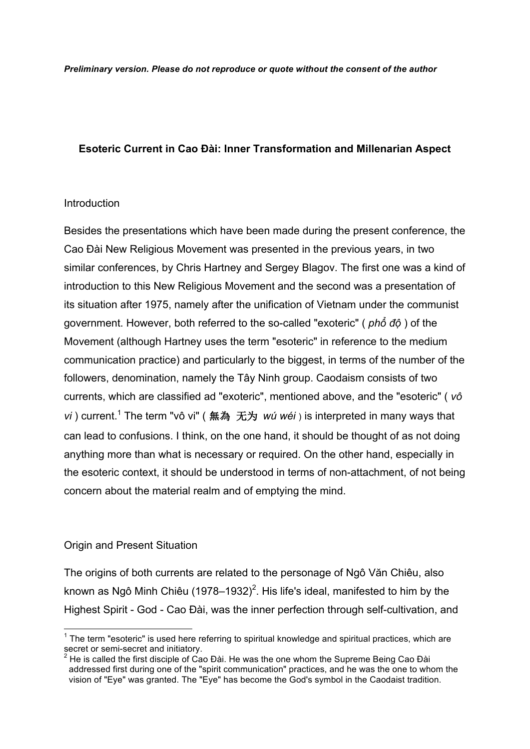### **Esoteric Current in Cao Đài: Inner Transformation and Millenarian Aspect**

#### Introduction

Besides the presentations which have been made during the present conference, the Cao Đài New Religious Movement was presented in the previous years, in two similar conferences, by Chris Hartney and Sergey Blagov. The first one was a kind of introduction to this New Religious Movement and the second was a presentation of its situation after 1975, namely after the unification of Vietnam under the communist government. However, both referred to the so-called "exoteric" ( *phổ độ* ) of the Movement (although Hartney uses the term "esoteric" in reference to the medium communication practice) and particularly to the biggest, in terms of the number of the followers, denomination, namely the Tây Ninh group. Caodaism consists of two currents, which are classified ad "exoteric", mentioned above, and the "esoteric" ( *vô vi* ) current.1 The term "vô vi" ( 無為无为 *wú wéi* ) is interpreted in many ways that can lead to confusions. I think, on the one hand, it should be thought of as not doing anything more than what is necessary or required. On the other hand, especially in the esoteric context, it should be understood in terms of non-attachment, of not being concern about the material realm and of emptying the mind.

### Origin and Present Situation

The origins of both currents are related to the personage of Ngô Văn Chiêu, also known as Ngô Minh Chiêu (1978–1932) $^2$ . His life's ideal, manifested to him by the Highest Spirit - God - Cao Đài, was the inner perfection through self-cultivation, and

<sup>&</sup>lt;sup>1</sup> The term "esoteric" is used here referring to spiritual knowledge and spiritual practices, which are secret or semi-secret and initiatory.

He is called the first disciple of Cao Đài. He was the one whom the Supreme Being Cao Đài addressed first during one of the "spirit communication" practices, and he was the one to whom the vision of "Eye" was granted. The "Eye" has become the God's symbol in the Caodaist tradition.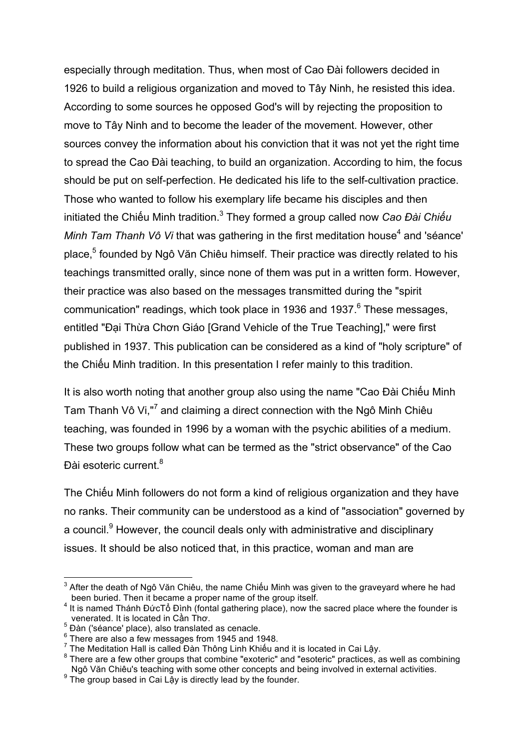especially through meditation. Thus, when most of Cao Đài followers decided in 1926 to build a religious organization and moved to Tây Ninh, he resisted this idea. According to some sources he opposed God's will by rejecting the proposition to move to Tây Ninh and to become the leader of the movement. However, other sources convey the information about his conviction that it was not yet the right time to spread the Cao Đài teaching, to build an organization. According to him, the focus should be put on self-perfection. He dedicated his life to the self-cultivation practice. Those who wanted to follow his exemplary life became his disciples and then initiated the Chiếu Minh tradition.3 They formed a group called now *Cao Đài Chiếu Minh Tam Thanh Vô Vi* that was gathering in the first meditation house<sup>4</sup> and 'séance' place,<sup>5</sup> founded by Ngô Văn Chiêu himself. Their practice was directly related to his teachings transmitted orally, since none of them was put in a written form. However, their practice was also based on the messages transmitted during the "spirit communication" readings, which took place in 1936 and 1937.<sup>6</sup> These messages, entitled "Đại Thừa Chơn Giáo [Grand Vehicle of the True Teaching]," were first published in 1937. This publication can be considered as a kind of "holy scripture" of the Chiếu Minh tradition. In this presentation I refer mainly to this tradition.

It is also worth noting that another group also using the name "Cao Đài Chiếu Minh Tam Thanh Vô Vi,"<sup>7</sup> and claiming a direct connection with the Ngô Minh Chiêu teaching, was founded in 1996 by a woman with the psychic abilities of a medium. These two groups follow what can be termed as the "strict observance" of the Cao Đài esoteric current.<sup>8</sup>

The Chiếu Minh followers do not form a kind of religious organization and they have no ranks. Their community can be understood as a kind of "association" governed by a council.<sup>9</sup> However, the council deals only with administrative and disciplinary issues. It should be also noticed that, in this practice, woman and man are

<sup>&</sup>lt;sup>3</sup> After the death of Ngô Văn Chiêu, the name Chiếu Minh was given to the graveyard where he had been buried. Then it became a proper name of the group itself.

 $4$  It is named Thánh ĐứcTổ Đình (fontal gathering place), now the sacred place where the founder is venerated. It is located in Cần Thơ.

 $\frac{5}{6}$  Dàn ('séance' place), also translated as cenacle.<br>  $\frac{6}{6}$  There are also a few messages from 1945 and 1948.<br>
The Meditation Hall is called Đàn Thông Linh Khiếu and it is located in Cai Lậy.

<sup>&</sup>lt;sup>8</sup> There are a few other groups that combine "exoteric" and "esoteric" practices, as well as combining Naô Văn Chiêu's teaching with some other concepts and being involved in external activities.

<sup>&</sup>lt;sup>9</sup> The group based in Cai Lậy is directly lead by the founder.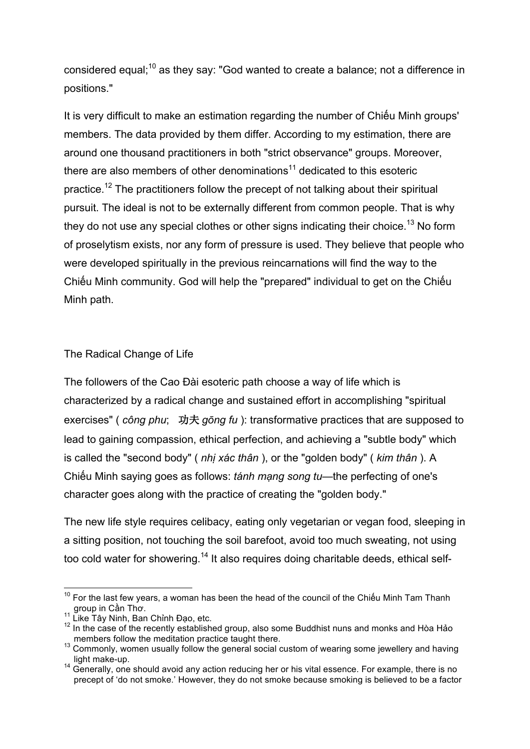considered equal;<sup>10</sup> as they say: "God wanted to create a balance; not a difference in positions."

It is very difficult to make an estimation regarding the number of Chiếu Minh groups' members. The data provided by them differ. According to my estimation, there are around one thousand practitioners in both "strict observance" groups. Moreover, there are also members of other denominations<sup>11</sup> dedicated to this esoteric practice.<sup>12</sup> The practitioners follow the precept of not talking about their spiritual pursuit. The ideal is not to be externally different from common people. That is why they do not use any special clothes or other signs indicating their choice.<sup>13</sup> No form of proselytism exists, nor any form of pressure is used. They believe that people who were developed spiritually in the previous reincarnations will find the way to the Chiếu Minh community. God will help the "prepared" individual to get on the Chiếu Minh path.

The Radical Change of Life

The followers of the Cao Đài esoteric path choose a way of life which is characterized by a radical change and sustained effort in accomplishing "spiritual exercises" ( *công phu*; 功夫 *gōng fu* ): transformative practices that are supposed to lead to gaining compassion, ethical perfection, and achieving a "subtle body" which is called the "second body" ( *nhị xác thân* ), or the "golden body" ( *kim thân* ). A Chiếu Minh saying goes as follows: *tánh mạng song tu*—the perfecting of one's character goes along with the practice of creating the "golden body."

The new life style requires celibacy, eating only vegetarian or vegan food, sleeping in a sitting position, not touching the soil barefoot, avoid too much sweating, not using too cold water for showering.<sup>14</sup> It also requires doing charitable deeds, ethical self-

 $10$  For the last few years, a woman has been the head of the council of the Chiếu Minh Tam Thanh group in Cần Thơ.<br>11 <sub>Litu</sub> –

Like Tây Ninh, Ban Chỉnh Đạo, etc.

<sup>12</sup> In the case of the recently established group, also some Buddhist nuns and monks and Hòa Hảo<br>members follow the meditation practice taught there.

members follow the meditation practice targets for the meditation process.<br>
<sup>13</sup> Commonly, women usually follow the general social custom of wearing some jewellery and having light make-up.

<sup>14</sup> Generally, one should avoid any action reducing her or his vital essence. For example, there is no precept of 'do not smoke.' However, they do not smoke because smoking is believed to be a factor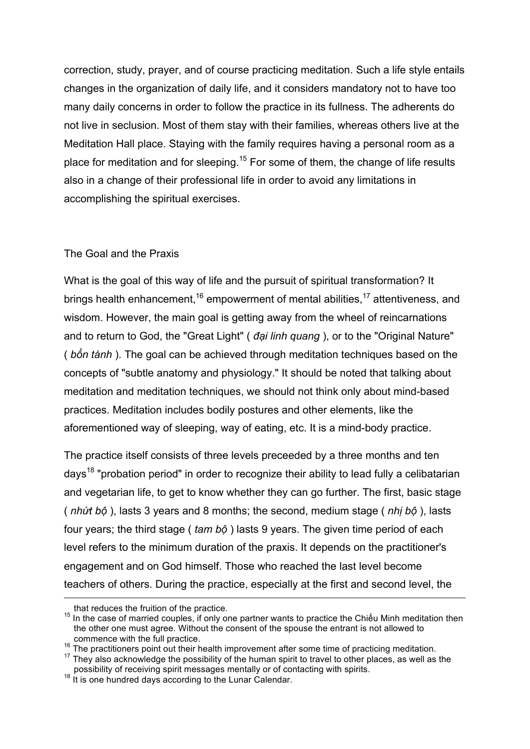correction, study, prayer, and of course practicing meditation. Such a life style entails changes in the organization of daily life, and it considers mandatory not to have too many daily concerns in order to follow the practice in its fullness. The adherents do not live in seclusion. Most of them stay with their families, whereas others live at the Meditation Hall place. Staying with the family requires having a personal room as a place for meditation and for sleeping.<sup>15</sup> For some of them, the change of life results also in a change of their professional life in order to avoid any limitations in accomplishing the spiritual exercises.

# The Goal and the Praxis

What is the goal of this way of life and the pursuit of spiritual transformation? It brings health enhancement, <sup>16</sup> empowerment of mental abilities, <sup>17</sup> attentiveness, and wisdom. However, the main goal is getting away from the wheel of reincarnations and to return to God, the "Great Light" ( *đại linh quang* ), or to the "Original Nature" ( *bổn tánh* ). The goal can be achieved through meditation techniques based on the concepts of "subtle anatomy and physiology." It should be noted that talking about meditation and meditation techniques, we should not think only about mind-based practices. Meditation includes bodily postures and other elements, like the aforementioned way of sleeping, way of eating, etc. It is a mind-body practice.

The practice itself consists of three levels preceeded by a three months and ten days<sup>18</sup> "probation period" in order to recognize their ability to lead fully a celibatarian and vegetarian life, to get to know whether they can go further. The first, basic stage ( *nhứt bộ* ), lasts 3 years and 8 months; the second, medium stage ( *nhị bộ* ), lasts four years; the third stage ( *tam bộ* ) lasts 9 years. The given time period of each level refers to the minimum duration of the praxis. It depends on the practitioner's engagement and on God himself. Those who reached the last level become teachers of others. During the practice, especially at the first and second level, the

that reduces the fruition of the practice.<br><sup>15</sup> In the case of married couples, if only one partner wants to practice the Chiếu Minh meditation then the other one must agree. Without the consent of the spouse the entrant is not allowed to

<sup>&</sup>lt;sup>16</sup> The practitioners point out their health improvement after some time of practicing meditation.<br><sup>17</sup> They also acknowledge the possibility of the human spirit to travel to other places, as well as the possibility of re

possibility of receiving spirit messages mental of a<br><sup>18</sup> It is one hundred days according to the Lunar Calendar.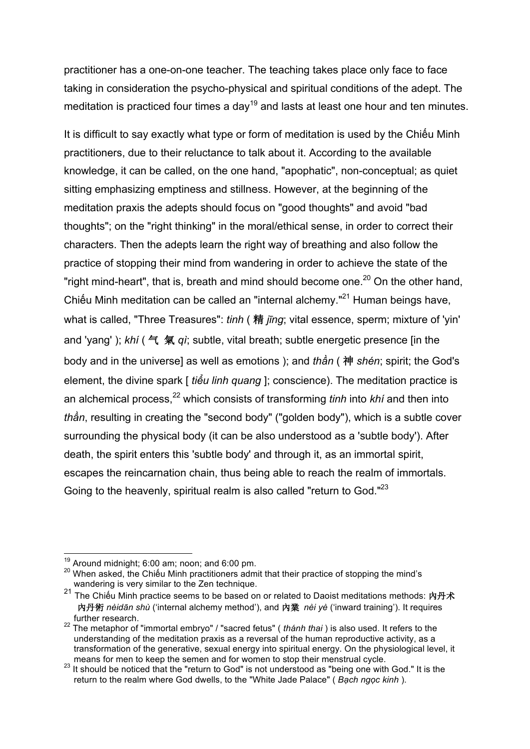practitioner has a one-on-one teacher. The teaching takes place only face to face taking in consideration the psycho-physical and spiritual conditions of the adept. The meditation is practiced four times a day<sup>19</sup> and lasts at least one hour and ten minutes.

It is difficult to say exactly what type or form of meditation is used by the Chiếu Minh practitioners, due to their reluctance to talk about it. According to the available knowledge, it can be called, on the one hand, "apophatic", non-conceptual; as quiet sitting emphasizing emptiness and stillness. However, at the beginning of the meditation praxis the adepts should focus on "good thoughts" and avoid "bad thoughts"; on the "right thinking" in the moral/ethical sense, in order to correct their characters. Then the adepts learn the right way of breathing and also follow the practice of stopping their mind from wandering in order to achieve the state of the "right mind-heart", that is, breath and mind should become one. $^{20}$  On the other hand, Chiếu Minh meditation can be called an "internal alchemy."<sup>21</sup> Human beings have, what is called, "Three Treasures": *tinh* ( 精 *jīng*; vital essence, sperm; mixture of 'yin' and 'yang' ); *khí* ( 气 氣 *qì*; subtle, vital breath; subtle energetic presence [in the body and in the universe] as well as emotions ); and *thần* ( 神 *shén*; spirit; the God's element, the divine spark [ *tiểu linh quang* ]; conscience). The meditation practice is an alchemical process,<sup>22</sup> which consists of transforming *tinh* into *khi* and then into *thần*, resulting in creating the "second body" ("golden body"), which is a subtle cover surrounding the physical body (it can be also understood as a 'subtle body'). After death, the spirit enters this 'subtle body' and through it, as an immortal spirit, escapes the reincarnation chain, thus being able to reach the realm of immortals. Going to the heavenly, spiritual realm is also called "return to God."<sup>23</sup>

<sup>&</sup>lt;sup>19</sup> Around midnight; 6:00 am; noon; and 6:00 pm.<br><sup>20</sup> When asked, the Chiếu Minh practitioners admit that their practice of stopping the mind's wandering is very similar to the Zen technique.

<sup>21</sup> The Chiếu Minh practice seems to be based on or related to Daoist meditations methods: 內丹术 內丹術 *nèidān shù* ('internal alchemy method'), and 內業 *nèi yè* ('inward training'). It requires further research.

<sup>22</sup> The metaphor of "immortal embryo" / "sacred fetus" ( *thánh thai* ) is also used. It refers to the understanding of the meditation praxis as a reversal of the human reproductive activity, as a transformation of the generative, sexual energy into spiritual energy. On the physiological level, it

<sup>23</sup> It should be noticed that the "return to God" is not understood as "being one with God." It is the return to the realm where God dwells, to the "White Jade Palace" ( *Bạch ngọc kinh* ).